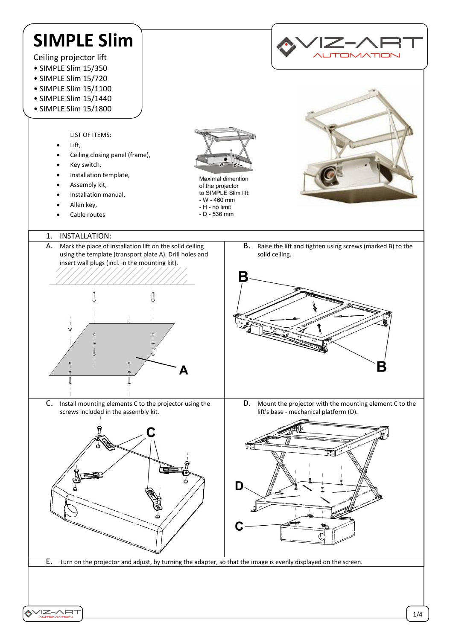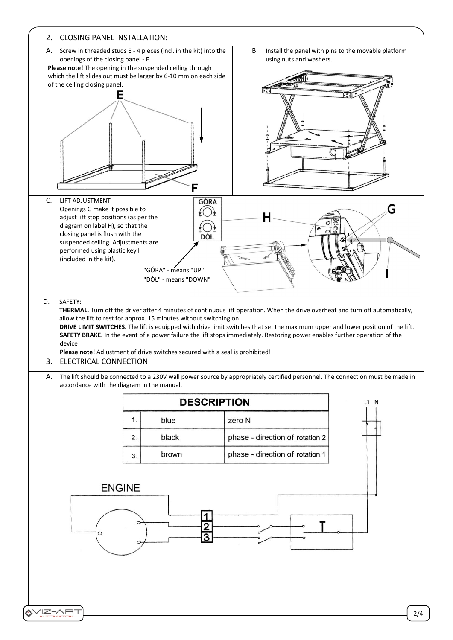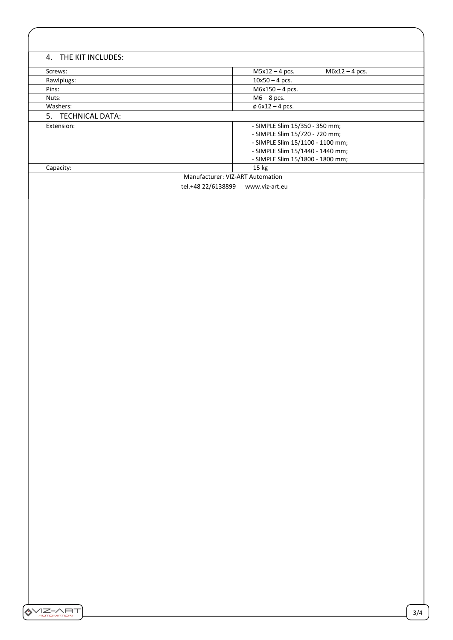| 4. THE KIT INCLUDES:                 |                                      |
|--------------------------------------|--------------------------------------|
| Screws:                              | $M6x12 - 4$ pcs.<br>$M5x12 - 4$ pcs. |
| Rawlplugs:                           | $10x50 - 4$ pcs.                     |
| Pins:                                | $M6x150 - 4$ pcs.                    |
| Nuts:                                | $M6 - 8$ pcs.                        |
| Washers:                             | $\phi$ 6x12 – 4 pcs.                 |
| 5. TECHNICAL DATA:                   |                                      |
| Extension:                           | - SIMPLE Slim 15/350 - 350 mm;       |
|                                      | - SIMPLE Slim 15/720 - 720 mm;       |
|                                      | - SIMPLE Slim 15/1100 - 1100 mm;     |
|                                      | - SIMPLE Slim 15/1440 - 1440 mm;     |
|                                      | - SIMPLE Slim 15/1800 - 1800 mm;     |
| Capacity:                            | $15 \text{ kg}$                      |
| Manufacturer: VIZ-ART Automation     |                                      |
| tel.+48 22/6138899<br>www.viz-art.eu |                                      |